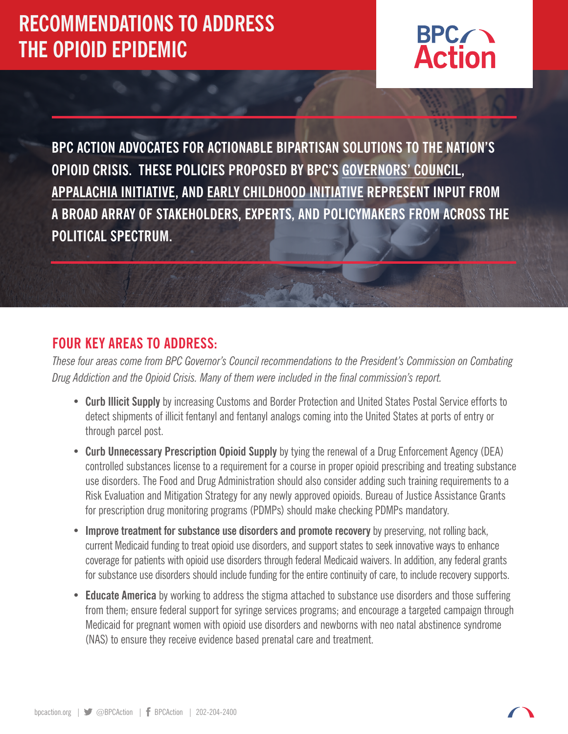# **RECOMMENDATIONS TO ADDRESS THE OPIOID EPIDEMIC**



**BPC ACTION ADVOCATES FOR ACTIONABLE BIPARTISAN SOLUTIONS TO THE NATION'S OPIOID CRISIS. THESE POLICIES PROPOSED BY BPC'S [GOVERNORS' COUNCIL,](https://bipartisanpolicy.org/library/letter-to-the-presidents-commission-on-combating-drug-addiction-and-the-opioid-crisis/) [APPALACHIA INITIATIVE](https://bipartisanpolicy.org/library/the-appalachia-initiative/), AND [EARLY CHILDHOOD INITIATIVE](https://bipartisanpolicy.org/library/a-bipartisan-case-for-early-childhood-development/) REPRESENT INPUT FROM A BROAD ARRAY OF STAKEHOLDERS, EXPERTS, AND POLICYMAKERS FROM ACROSS THE POLITICAL SPECTRUM.** 

#### **FOUR KEY AREAS TO ADDRESS:**

*These four areas come from BPC Governor's Council recommendations to the President's Commission on Combating Drug Addiction and the Opioid Crisis. Many of them were included in the final commission's report.* 

- **Curb Illicit Supply** by increasing Customs and Border Protection and United States Postal Service efforts to detect shipments of illicit fentanyl and fentanyl analogs coming into the United States at ports of entry or through parcel post.
- **Curb Unnecessary Prescription Opioid Supply** by tying the renewal of a Drug Enforcement Agency (DEA) controlled substances license to a requirement for a course in proper opioid prescribing and treating substance use disorders. The Food and Drug Administration should also consider adding such training requirements to a Risk Evaluation and Mitigation Strategy for any newly approved opioids. Bureau of Justice Assistance Grants for prescription drug monitoring programs (PDMPs) should make checking PDMPs mandatory.
- **Improve treatment for substance use disorders and promote recovery** by preserving, not rolling back, current Medicaid funding to treat opioid use disorders, and support states to seek innovative ways to enhance coverage for patients with opioid use disorders through federal Medicaid waivers. In addition, any federal grants for substance use disorders should include funding for the entire continuity of care, to include recovery supports.
- **Educate America** by working to address the stigma attached to substance use disorders and those suffering from them; ensure federal support for syringe services programs; and encourage a targeted campaign through Medicaid for pregnant women with opioid use disorders and newborns with neo natal abstinence syndrome (NAS) to ensure they receive evidence based prenatal care and treatment.